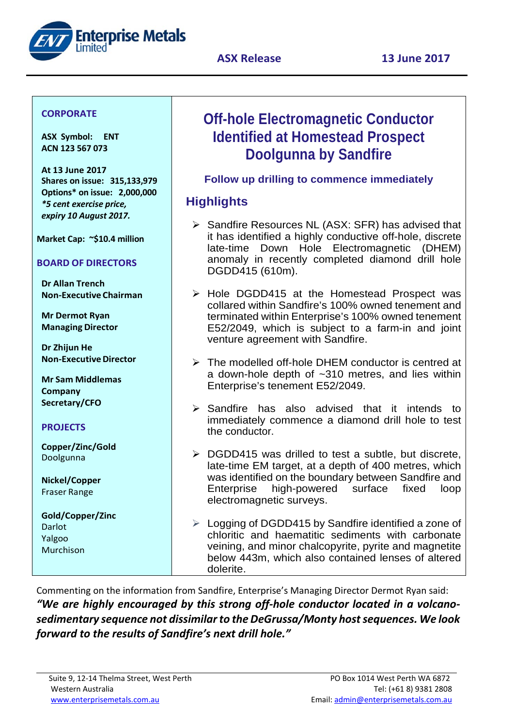



## **CORPORATE**

**ASX Symbol: ENT ACN 123 567 073**

**At 13 June 2017 Shares on issue: 315,133,979 Options\* on issue: 2,000,000** *\*5 cent exercise price, expiry 10 August 2017.*

**Market Cap: ~\$10.4 million**

## **BOARD OF DIRECTORS**

**Dr Allan Trench Non-Executive Chairman**

**Mr Dermot Ryan Managing Director**

**Dr Zhijun He Non-Executive Director** 

**Mr Sam Middlemas Company Secretary/CFO**

## **PROJECTS**

**Copper/Zinc/Gold** Doolgunna

**Nickel/Copper** Fraser Range

**Gold/Copper/Zinc** Darlot Yalgoo Murchison

# **Off-hole Electromagnetic Conductor Identified at Homestead Prospect Doolgunna by Sandfire**

**Follow up drilling to commence immediately** 

## **Highlights**

- $\triangleright$  Sandfire Resources NL (ASX: SFR) has advised that it has identified a highly conductive off-hole, discrete late-time Down Hole Electromagnetic (DHEM) anomaly in recently completed diamond drill hole DGDD415 (610m).
- $\triangleright$  Hole DGDD415 at the Homestead Prospect was collared within Sandfire's 100% owned tenement and terminated within Enterprise's 100% owned tenement E52/2049, which is subject to a farm-in and joint venture agreement with Sandfire.
- $\triangleright$  The modelled off-hole DHEM conductor is centred at a down-hole depth of ~310 metres, and lies within Enterprise's tenement E52/2049.
- $\triangleright$  Sandfire has also advised that it intends to immediately commence a diamond drill hole to test the conductor.
- $\triangleright$  DGDD415 was drilled to test a subtle, but discrete, late-time EM target, at a depth of 400 metres, which was identified on the boundary between Sandfire and Enterprise high-powered surface fixed loop electromagnetic surveys.
- $\triangleright$  Logging of DGDD415 by Sandfire identified a zone of chloritic and haematitic sediments with carbonate veining, and minor chalcopyrite, pyrite and magnetite below 443m, which also contained lenses of altered dolerite.

Commenting on the information from Sandfire, Enterprise's Managing Director Dermot Ryan said: *"We are highly encouraged by this strong off-hole conductor located in a volcanosedimentary sequence not dissimilar to the DeGrussa/Monty host sequences. We look forward to the results of Sandfire's next drill hole."*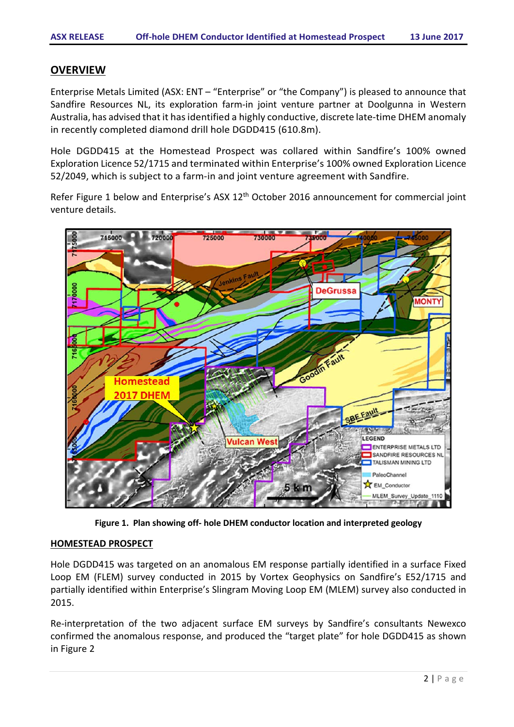## **OVERVIEW**

Enterprise Metals Limited (ASX: ENT – "Enterprise" or "the Company") is pleased to announce that Sandfire Resources NL, its exploration farm-in joint venture partner at Doolgunna in Western Australia, has advised that it has identified a highly conductive, discrete late-time DHEM anomaly in recently completed diamond drill hole DGDD415 (610.8m).

Hole DGDD415 at the Homestead Prospect was collared within Sandfire's 100% owned Exploration Licence 52/1715 and terminated within Enterprise's 100% owned Exploration Licence 52/2049, which is subject to a farm-in and joint venture agreement with Sandfire.

Refer Figure 1 below and Enterprise's ASX 12<sup>th</sup> October 2016 announcement for commercial joint venture details.



**Figure 1. Plan showing off- hole DHEM conductor location and interpreted geology**

#### **HOMESTEAD PROSPECT**

Hole DGDD415 was targeted on an anomalous EM response partially identified in a surface Fixed Loop EM (FLEM) survey conducted in 2015 by Vortex Geophysics on Sandfire's E52/1715 and partially identified within Enterprise's Slingram Moving Loop EM (MLEM) survey also conducted in 2015.

Re-interpretation of the two adjacent surface EM surveys by Sandfire's consultants Newexco confirmed the anomalous response, and produced the "target plate" for hole DGDD415 as shown in Figure 2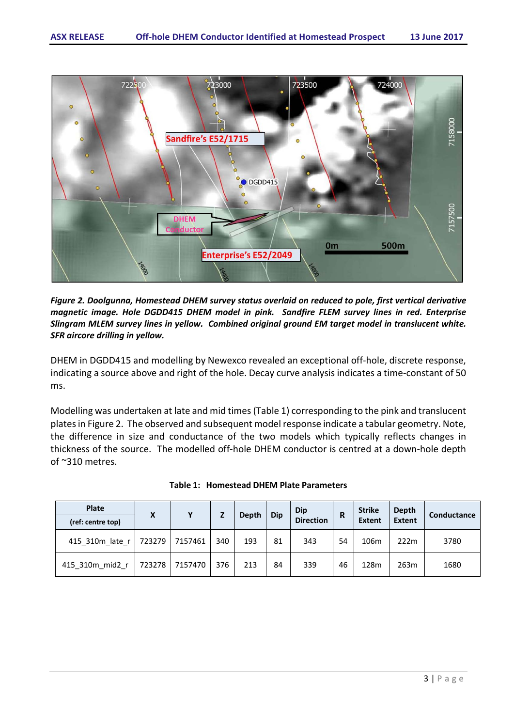

*Figure 2. Doolgunna, Homestead DHEM survey status overlaid on reduced to pole, first vertical derivative magnetic image. Hole DGDD415 DHEM model in pink. Sandfire FLEM survey lines in red. Enterprise Slingram MLEM survey lines in yellow. Combined original ground EM target model in translucent white. SFR aircore drilling in yellow.*

DHEM in DGDD415 and modelling by Newexco revealed an exceptional off-hole, discrete response, indicating a source above and right of the hole. Decay curve analysis indicates a time-constant of 50 ms.

Modelling was undertaken at late and mid times (Table 1) corresponding to the pink and translucent plates i[n Figure 2.](#page-3-0) The observed and subsequent model response indicate a tabular geometry. Note, the difference in size and conductance of the two models which typically reflects changes in thickness of the source. The modelled off-hole DHEM conductor is centred at a down-hole depth of ~310 metres.

| <b>Plate</b><br>(ref: centre top) | X      | v       |     | <b>Depth</b> | <b>Dip</b> | Dip<br><b>Direction</b> | R  | <b>Strike</b><br><b>Extent</b> | Depth<br><b>Extent</b> | Conductance |
|-----------------------------------|--------|---------|-----|--------------|------------|-------------------------|----|--------------------------------|------------------------|-------------|
| 415 310m late r                   | 723279 | 7157461 | 340 | 193          | 81         | 343                     | 54 | 106m                           | 222m                   | 3780        |
| 415 310m mid2 r                   | 723278 | 7157470 | 376 | 213          | 84         | 339                     | 46 | 128m                           | 263m                   | 1680        |

|  | Table 1: Homestead DHEM Plate Parameters |
|--|------------------------------------------|
|--|------------------------------------------|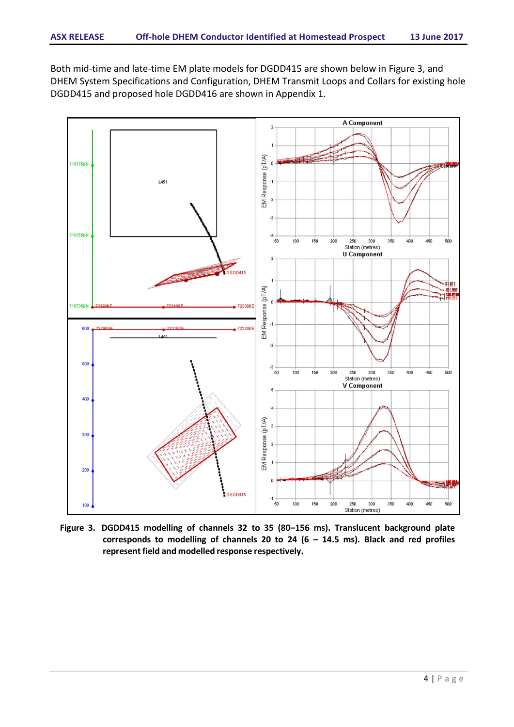Both mid-time and late-time EM plate models for DGDD415 are shown below in Figure 3, and DHEM System Specifications and Configuration, DHEM Transmit Loops and Collars for existing hole DGDD415 and proposed hole DGDD416 are shown in Appendix 1.



<span id="page-3-0"></span>**Figure 3. DGDD415 modelling of channels 32 to 35 (80–156 ms). Translucent background plate corresponds to modelling of channels 20 to 24 (6 – 14.5 ms). Black and red profiles represent field and modelled response respectively.**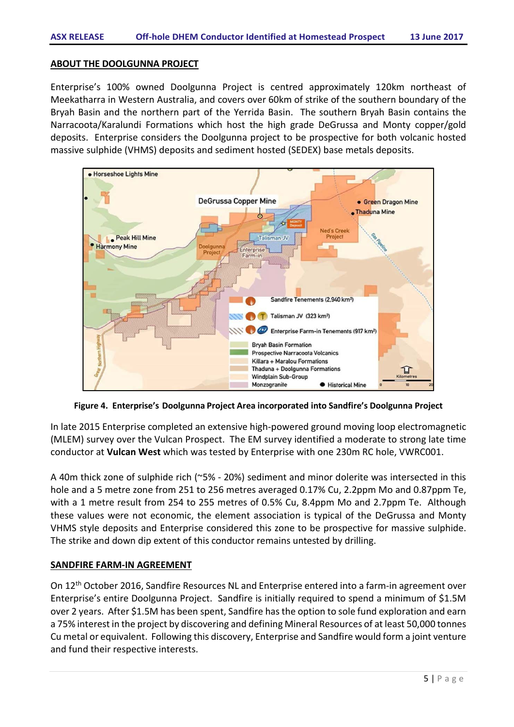#### **ABOUT THE DOOLGUNNA PROJECT**

Enterprise's 100% owned Doolgunna Project is centred approximately 120km northeast of Meekatharra in Western Australia, and covers over 60km of strike of the southern boundary of the Bryah Basin and the northern part of the Yerrida Basin. The southern Bryah Basin contains the Narracoota/Karalundi Formations which host the high grade DeGrussa and Monty copper/gold deposits. Enterprise considers the Doolgunna project to be prospective for both volcanic hosted massive sulphide (VHMS) deposits and sediment hosted (SEDEX) base metals deposits.



**Figure 4. Enterprise's Doolgunna Project Area incorporated into Sandfire's Doolgunna Project**

In late 2015 Enterprise completed an extensive high-powered ground moving loop electromagnetic (MLEM) survey over the Vulcan Prospect. The EM survey identified a moderate to strong late time conductor at **Vulcan West** which was tested by Enterprise with one 230m RC hole, VWRC001.

A 40m thick zone of sulphide rich (~5% - 20%) sediment and minor dolerite was intersected in this hole and a 5 metre zone from 251 to 256 metres averaged 0.17% Cu, 2.2ppm Mo and 0.87ppm Te, with a 1 metre result from 254 to 255 metres of 0.5% Cu, 8.4ppm Mo and 2.7ppm Te. Although these values were not economic, the element association is typical of the DeGrussa and Monty VHMS style deposits and Enterprise considered this zone to be prospective for massive sulphide. The strike and down dip extent of this conductor remains untested by drilling.

### **SANDFIRE FARM-IN AGREEMENT**

On 12th October 2016, Sandfire Resources NL and Enterprise entered into a farm-in agreement over Enterprise's entire Doolgunna Project. Sandfire is initially required to spend a minimum of \$1.5M over 2 years. After \$1.5M has been spent, Sandfire has the option to sole fund exploration and earn a 75% interest in the project by discovering and defining Mineral Resources of at least 50,000 tonnes Cu metal or equivalent. Following this discovery, Enterprise and Sandfire would form a joint venture and fund their respective interests.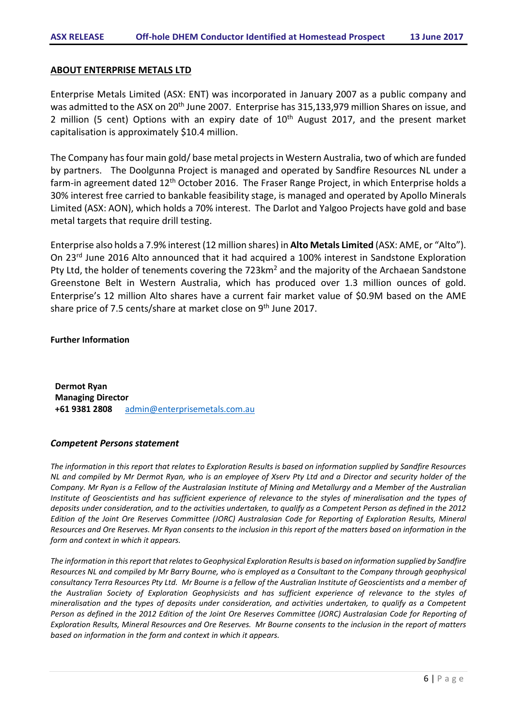#### **ABOUT ENTERPRISE METALS LTD**

Enterprise Metals Limited (ASX: ENT) was incorporated in January 2007 as a public company and was admitted to the ASX on 20<sup>th</sup> June 2007. Enterprise has 315,133,979 million Shares on issue, and 2 million (5 cent) Options with an expiry date of  $10<sup>th</sup>$  August 2017, and the present market capitalisation is approximately \$10.4 million.

The Company has four main gold/ base metal projects in Western Australia, two of which are funded by partners. The Doolgunna Project is managed and operated by Sandfire Resources NL under a farm-in agreement dated 12<sup>th</sup> October 2016. The Fraser Range Project, in which Enterprise holds a 30% interest free carried to bankable feasibility stage, is managed and operated by Apollo Minerals Limited (ASX: AON), which holds a 70% interest. The Darlot and Yalgoo Projects have gold and base metal targets that require drill testing.

Enterprise also holds a 7.9% interest (12 million shares) in **Alto Metals Limited** (ASX: AME, or "Alto"). On 23rd June 2016 Alto announced that it had acquired a 100% interest in Sandstone Exploration Pty Ltd, the holder of tenements covering the 723km<sup>2</sup> and the majority of the Archaean Sandstone Greenstone Belt in Western Australia, which has produced over 1.3 million ounces of gold. Enterprise's 12 million Alto shares have a current fair market value of \$0.9M based on the AME share price of 7.5 cents/share at market close on 9<sup>th</sup> June 2017.

#### **Further Information**

**Dermot Ryan Managing Director +61 9381 2808** [admin@enterprisemetals.com.au](mailto:admin@enterprisemetals.com.au)

#### *Competent Persons statement*

*The information in this report that relates to Exploration Results is based on information supplied by Sandfire Resources NL and compiled by Mr Dermot Ryan, who is an employee of Xserv Pty Ltd and a Director and security holder of the Company. Mr Ryan is a Fellow of the Australasian Institute of Mining and Metallurgy and a Member of the Australian Institute of Geoscientists and has sufficient experience of relevance to the styles of mineralisation and the types of deposits under consideration, and to the activities undertaken, to qualify as a Competent Person as defined in the 2012 Edition of the Joint Ore Reserves Committee (JORC) Australasian Code for Reporting of Exploration Results, Mineral Resources and Ore Reserves. Mr Ryan consents to the inclusion in this report of the matters based on information in the form and context in which it appears.*

*The information in this report that relates to Geophysical Exploration Results is based on information supplied by Sandfire Resources NL and compiled by Mr Barry Bourne, who is employed as a Consultant to the Company through geophysical consultancy Terra Resources Pty Ltd. Mr Bourne is a fellow of the Australian Institute of Geoscientists and a member of the Australian Society of Exploration Geophysicists and has sufficient experience of relevance to the styles of mineralisation and the types of deposits under consideration, and activities undertaken, to qualify as a Competent Person as defined in the 2012 Edition of the Joint Ore Reserves Committee (JORC) Australasian Code for Reporting of Exploration Results, Mineral Resources and Ore Reserves. Mr Bourne consents to the inclusion in the report of matters based on information in the form and context in which it appears.*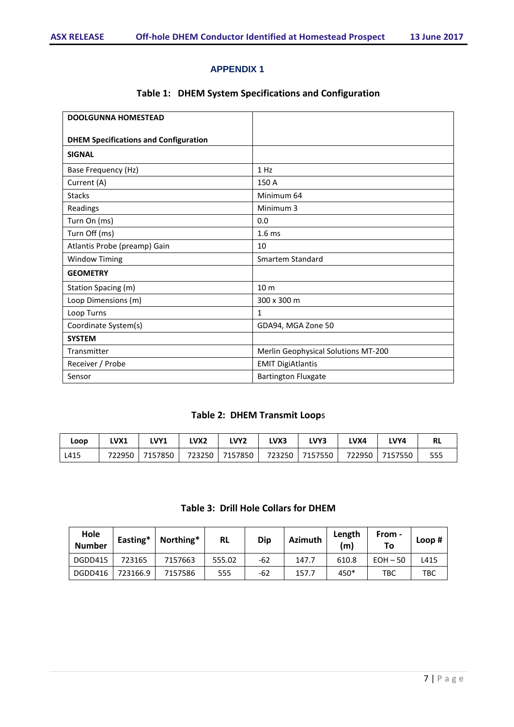#### **APPENDIX 1**

## **Table 1: DHEM System Specifications and Configuration**

| <b>DOOLGUNNA HOMESTEAD</b>                   |                                     |
|----------------------------------------------|-------------------------------------|
| <b>DHEM Specifications and Configuration</b> |                                     |
| <b>SIGNAL</b>                                |                                     |
| Base Frequency (Hz)                          | 1 H <sub>Z</sub>                    |
| Current (A)                                  | 150 A                               |
| <b>Stacks</b>                                | Minimum 64                          |
| Readings                                     | Minimum 3                           |
| Turn On (ms)                                 | 0.0                                 |
| Turn Off (ms)                                | 1.6 <sub>ms</sub>                   |
| Atlantis Probe (preamp) Gain                 | 10                                  |
| <b>Window Timing</b>                         | <b>Smartem Standard</b>             |
| <b>GEOMETRY</b>                              |                                     |
| Station Spacing (m)                          | 10 <sub>m</sub>                     |
| Loop Dimensions (m)                          | 300 x 300 m                         |
| Loop Turns                                   | $\mathbf{1}$                        |
| Coordinate System(s)                         | GDA94, MGA Zone 50                  |
| <b>SYSTEM</b>                                |                                     |
| Transmitter                                  | Merlin Geophysical Solutions MT-200 |
| Receiver / Probe                             | <b>EMIT DigiAtlantis</b>            |
| Sensor                                       | <b>Bartington Fluxgate</b>          |

## **Table 2: DHEM Transmit Loop**s

| Loop | LVX1   | LVY1    | LVX2 | LVY <sub>2</sub> | <b>LVX3</b> | LVY3           | LVX4 | LVY4           | <b>RL</b> |
|------|--------|---------|------|------------------|-------------|----------------|------|----------------|-----------|
| L415 | 722950 | 7157850 |      | 723250 7157850   |             | 723250 7157550 |      | 722950 7157550 | 555       |

#### **Table 3: Drill Hole Collars for DHEM**

| Hole<br><b>Number</b> | Easting* | Northing* | <b>RL</b> | Dip | <b>Azimuth</b> | Length<br>(m) | From -<br>To | Loop $#$ |
|-----------------------|----------|-----------|-----------|-----|----------------|---------------|--------------|----------|
| DGDD415               | 723165   | 7157663   | 555.02    | -62 | 147.7          | 610.8         | $EOH - 50$   | L415     |
| DGDD416               | 723166.9 | 7157586   | 555       | -62 | 157.7          | 450*          | твс          | TBC      |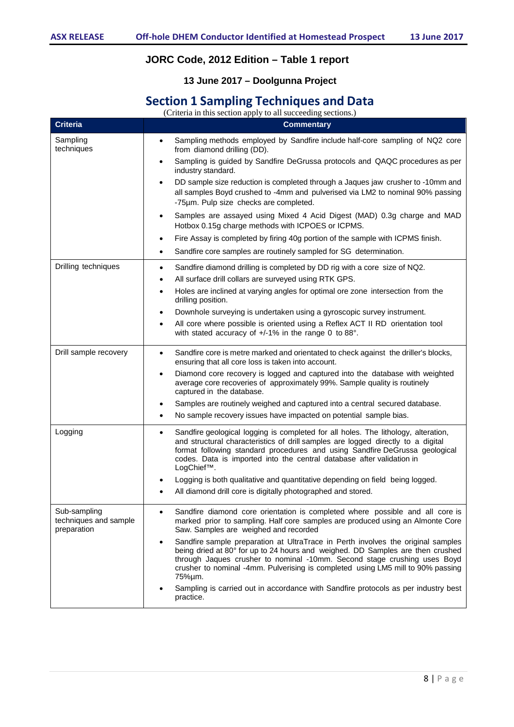## **JORC Code, 2012 Edition – Table 1 report**

## **13 June 2017 – Doolgunna Project**

## **Section 1 Sampling Techniques and Data**

(Criteria in this section apply to all succeeding sections.)

| <b>Criteria</b>                                      | <b>Commentary</b>                                                                                                                                                                                                                                                                                                                                         |
|------------------------------------------------------|-----------------------------------------------------------------------------------------------------------------------------------------------------------------------------------------------------------------------------------------------------------------------------------------------------------------------------------------------------------|
| Sampling<br>techniques                               | Sampling methods employed by Sandfire include half-core sampling of NQ2 core<br>$\bullet$<br>from diamond drilling (DD).                                                                                                                                                                                                                                  |
|                                                      | Sampling is guided by Sandfire DeGrussa protocols and QAQC procedures as per<br>$\bullet$<br>industry standard.                                                                                                                                                                                                                                           |
|                                                      | DD sample size reduction is completed through a Jaques jaw crusher to -10mm and<br>$\bullet$<br>all samples Boyd crushed to -4mm and pulverised via LM2 to nominal 90% passing<br>-75µm. Pulp size checks are completed.                                                                                                                                  |
|                                                      | Samples are assayed using Mixed 4 Acid Digest (MAD) 0.3g charge and MAD<br>$\bullet$<br>Hotbox 0.15g charge methods with ICPOES or ICPMS.                                                                                                                                                                                                                 |
|                                                      | Fire Assay is completed by firing 40g portion of the sample with ICPMS finish.<br>$\bullet$                                                                                                                                                                                                                                                               |
|                                                      | Sandfire core samples are routinely sampled for SG determination.<br>$\bullet$                                                                                                                                                                                                                                                                            |
| Drilling techniques                                  | Sandfire diamond drilling is completed by DD rig with a core size of NQ2.<br>$\bullet$<br>All surface drill collars are surveyed using RTK GPS.<br>$\bullet$                                                                                                                                                                                              |
|                                                      | Holes are inclined at varying angles for optimal ore zone intersection from the<br>$\bullet$                                                                                                                                                                                                                                                              |
|                                                      | drilling position.                                                                                                                                                                                                                                                                                                                                        |
|                                                      | Downhole surveying is undertaken using a gyroscopic survey instrument.<br>$\bullet$                                                                                                                                                                                                                                                                       |
|                                                      | All core where possible is oriented using a Reflex ACT II RD orientation tool<br>$\bullet$<br>with stated accuracy of +/-1% in the range 0 to 88°.                                                                                                                                                                                                        |
| Drill sample recovery                                | Sandfire core is metre marked and orientated to check against the driller's blocks,<br>$\bullet$<br>ensuring that all core loss is taken into account.                                                                                                                                                                                                    |
|                                                      | Diamond core recovery is logged and captured into the database with weighted<br>$\bullet$<br>average core recoveries of approximately 99%. Sample quality is routinely<br>captured in the database.                                                                                                                                                       |
|                                                      | Samples are routinely weighed and captured into a central secured database.<br>$\bullet$                                                                                                                                                                                                                                                                  |
|                                                      | No sample recovery issues have impacted on potential sample bias.<br>$\bullet$                                                                                                                                                                                                                                                                            |
| Logging                                              | Sandfire geological logging is completed for all holes. The lithology, alteration,<br>$\bullet$<br>and structural characteristics of drill samples are logged directly to a digital<br>format following standard procedures and using Sandfire DeGrussa geological<br>codes. Data is imported into the central database after validation in<br>LogChief™. |
|                                                      | Logging is both qualitative and quantitative depending on field being logged.                                                                                                                                                                                                                                                                             |
|                                                      | All diamond drill core is digitally photographed and stored.                                                                                                                                                                                                                                                                                              |
| Sub-sampling<br>techniques and sample<br>preparation | Sandfire diamond core orientation is completed where possible and all core is<br>marked prior to sampling. Half core samples are produced using an Almonte Core<br>Saw. Samples are weighed and recorded                                                                                                                                                  |
|                                                      | Sandfire sample preparation at UltraTrace in Perth involves the original samples<br>$\bullet$<br>being dried at 80° for up to 24 hours and weighed. DD Samples are then crushed<br>through Jaques crusher to nominal -10mm. Second stage crushing uses Boyd<br>crusher to nominal -4mm. Pulverising is completed using LM5 mill to 90% passing<br>75%µm.  |
|                                                      | Sampling is carried out in accordance with Sandfire protocols as per industry best<br>practice.                                                                                                                                                                                                                                                           |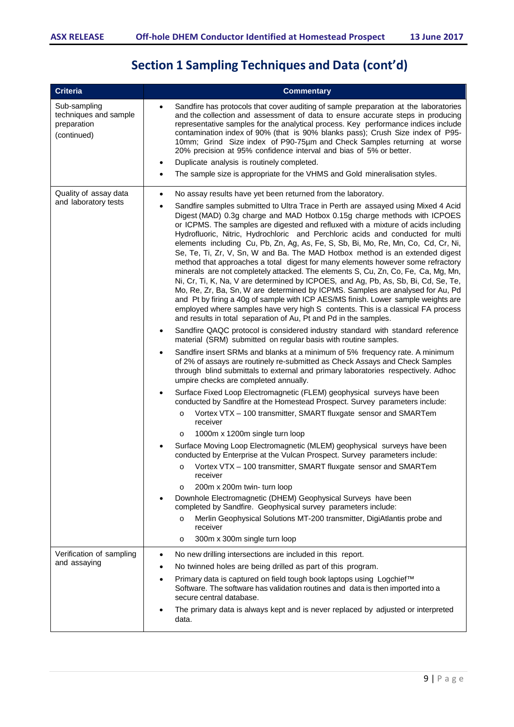# **Section 1 Sampling Techniques and Data (cont'd)**

| <b>Criteria</b>                                                     | <b>Commentary</b>                                                                                                                                                                                                                                                                                                                                                                                                                                                                                                                                                                                                                                                                                                                                                                                                                                                                                                                                                                                                                                                                                                                                                                                                                                                                                                                                                                                                                                                                                                                                                                                                                                                                                                                                                                                                                                                                                                                                                                      |
|---------------------------------------------------------------------|----------------------------------------------------------------------------------------------------------------------------------------------------------------------------------------------------------------------------------------------------------------------------------------------------------------------------------------------------------------------------------------------------------------------------------------------------------------------------------------------------------------------------------------------------------------------------------------------------------------------------------------------------------------------------------------------------------------------------------------------------------------------------------------------------------------------------------------------------------------------------------------------------------------------------------------------------------------------------------------------------------------------------------------------------------------------------------------------------------------------------------------------------------------------------------------------------------------------------------------------------------------------------------------------------------------------------------------------------------------------------------------------------------------------------------------------------------------------------------------------------------------------------------------------------------------------------------------------------------------------------------------------------------------------------------------------------------------------------------------------------------------------------------------------------------------------------------------------------------------------------------------------------------------------------------------------------------------------------------------|
| Sub-sampling<br>techniques and sample<br>preparation<br>(continued) | Sandfire has protocols that cover auditing of sample preparation at the laboratories<br>$\bullet$<br>and the collection and assessment of data to ensure accurate steps in producing<br>representative samples for the analytical process. Key performance indices include<br>contamination index of 90% (that is 90% blanks pass); Crush Size index of P95-<br>10mm; Grind Size index of P90-75µm and Check Samples returning at worse<br>20% precision at 95% confidence interval and bias of 5% or better.<br>Duplicate analysis is routinely completed.<br>$\bullet$<br>The sample size is appropriate for the VHMS and Gold mineralisation styles.<br>$\bullet$                                                                                                                                                                                                                                                                                                                                                                                                                                                                                                                                                                                                                                                                                                                                                                                                                                                                                                                                                                                                                                                                                                                                                                                                                                                                                                                   |
|                                                                     |                                                                                                                                                                                                                                                                                                                                                                                                                                                                                                                                                                                                                                                                                                                                                                                                                                                                                                                                                                                                                                                                                                                                                                                                                                                                                                                                                                                                                                                                                                                                                                                                                                                                                                                                                                                                                                                                                                                                                                                        |
| Quality of assay data<br>and laboratory tests                       | No assay results have yet been returned from the laboratory.<br>$\bullet$<br>Sandfire samples submitted to Ultra Trace in Perth are assayed using Mixed 4 Acid<br>$\bullet$<br>Digest (MAD) 0.3g charge and MAD Hotbox 0.15g charge methods with ICPOES<br>or ICPMS. The samples are digested and refluxed with a mixture of acids including<br>Hydrofluoric, Nitric, Hydrochloric and Perchloric acids and conducted for multi<br>elements including Cu, Pb, Zn, Ag, As, Fe, S, Sb, Bi, Mo, Re, Mn, Co, Cd, Cr, Ni,<br>Se, Te, Ti, Zr, V, Sn, W and Ba. The MAD Hotbox method is an extended digest<br>method that approaches a total digest for many elements however some refractory<br>minerals are not completely attacked. The elements S, Cu, Zn, Co, Fe, Ca, Mg, Mn,<br>Ni, Cr, Ti, K, Na, V are determined by ICPOES, and Ag, Pb, As, Sb, Bi, Cd, Se, Te,<br>Mo, Re, Zr, Ba, Sn, W are determined by ICPMS. Samples are analysed for Au, Pd<br>and Pt by firing a 40g of sample with ICP AES/MS finish. Lower sample weights are<br>employed where samples have very high S contents. This is a classical FA process<br>and results in total separation of Au, Pt and Pd in the samples.<br>Sandfire QAQC protocol is considered industry standard with standard reference<br>$\bullet$<br>material (SRM) submitted on regular basis with routine samples.<br>Sandfire insert SRMs and blanks at a minimum of 5% frequency rate. A minimum<br>$\bullet$<br>of 2% of assays are routinely re-submitted as Check Assays and Check Samples<br>through blind submittals to external and primary laboratories respectively. Adhoc<br>umpire checks are completed annually.<br>Surface Fixed Loop Electromagnetic (FLEM) geophysical surveys have been<br>$\bullet$<br>conducted by Sandfire at the Homestead Prospect. Survey parameters include:<br>Vortex VTX - 100 transmitter, SMART fluxgate sensor and SMARTem<br>$\circ$<br>receiver<br>1000m x 1200m single turn loop<br>O |
|                                                                     | Surface Moving Loop Electromagnetic (MLEM) geophysical surveys have been<br>conducted by Enterprise at the Vulcan Prospect. Survey parameters include:                                                                                                                                                                                                                                                                                                                                                                                                                                                                                                                                                                                                                                                                                                                                                                                                                                                                                                                                                                                                                                                                                                                                                                                                                                                                                                                                                                                                                                                                                                                                                                                                                                                                                                                                                                                                                                 |
|                                                                     | Vortex VTX - 100 transmitter, SMART fluxgate sensor and SMARTem<br>$\circ$<br>receiver<br>200m x 200m twin- turn loop<br>O<br>Downhole Electromagnetic (DHEM) Geophysical Surveys have been<br>completed by Sandfire. Geophysical survey parameters include:<br>Merlin Geophysical Solutions MT-200 transmitter, DigiAtlantis probe and<br>$\circ$<br>receiver<br>300m x 300m single turn loop<br>$\circ$                                                                                                                                                                                                                                                                                                                                                                                                                                                                                                                                                                                                                                                                                                                                                                                                                                                                                                                                                                                                                                                                                                                                                                                                                                                                                                                                                                                                                                                                                                                                                                              |
| Verification of sampling                                            | No new drilling intersections are included in this report.<br>$\bullet$                                                                                                                                                                                                                                                                                                                                                                                                                                                                                                                                                                                                                                                                                                                                                                                                                                                                                                                                                                                                                                                                                                                                                                                                                                                                                                                                                                                                                                                                                                                                                                                                                                                                                                                                                                                                                                                                                                                |
| and assaying                                                        | No twinned holes are being drilled as part of this program.<br>$\bullet$                                                                                                                                                                                                                                                                                                                                                                                                                                                                                                                                                                                                                                                                                                                                                                                                                                                                                                                                                                                                                                                                                                                                                                                                                                                                                                                                                                                                                                                                                                                                                                                                                                                                                                                                                                                                                                                                                                               |
|                                                                     | Primary data is captured on field tough book laptops using Logchief™<br>$\bullet$<br>Software. The software has validation routines and data is then imported into a<br>secure central database.                                                                                                                                                                                                                                                                                                                                                                                                                                                                                                                                                                                                                                                                                                                                                                                                                                                                                                                                                                                                                                                                                                                                                                                                                                                                                                                                                                                                                                                                                                                                                                                                                                                                                                                                                                                       |
|                                                                     | The primary data is always kept and is never replaced by adjusted or interpreted<br>data.                                                                                                                                                                                                                                                                                                                                                                                                                                                                                                                                                                                                                                                                                                                                                                                                                                                                                                                                                                                                                                                                                                                                                                                                                                                                                                                                                                                                                                                                                                                                                                                                                                                                                                                                                                                                                                                                                              |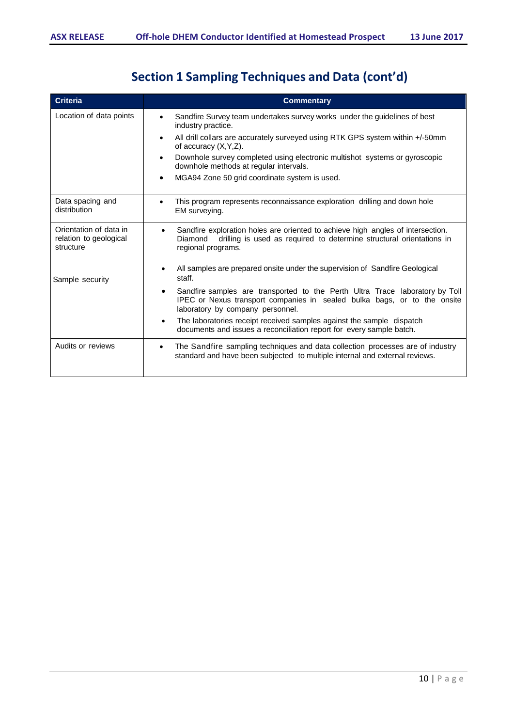# **Section <sup>1</sup> Sampling Techniques and Data (cont'd)**

| <b>Criteria</b>                                               | <b>Commentary</b>                                                                                                                                                                                 |
|---------------------------------------------------------------|---------------------------------------------------------------------------------------------------------------------------------------------------------------------------------------------------|
| Location of data points                                       | Sandfire Survey team undertakes survey works under the guidelines of best<br>industry practice.                                                                                                   |
|                                                               | All drill collars are accurately surveyed using RTK GPS system within +/-50mm<br>of accuracy $(X, Y, Z)$ .                                                                                        |
|                                                               | Downhole survey completed using electronic multishot systems or gyroscopic<br>downhole methods at regular intervals.                                                                              |
|                                                               | MGA94 Zone 50 grid coordinate system is used.                                                                                                                                                     |
| Data spacing and<br>distribution                              | This program represents reconnaissance exploration drilling and down hole<br>EM surveying.                                                                                                        |
| Orientation of data in<br>relation to geological<br>structure | Sandfire exploration holes are oriented to achieve high angles of intersection.<br>٠<br>drilling is used as required to determine structural orientations in<br>Diamond<br>regional programs.     |
| Sample security                                               | All samples are prepared onsite under the supervision of Sandfire Geological<br>٠<br>staff.                                                                                                       |
|                                                               | Sandfire samples are transported to the Perth Ultra Trace laboratory by Toll<br>٠<br>IPEC or Nexus transport companies in sealed bulka bags, or to the onsite<br>laboratory by company personnel. |
|                                                               | The laboratories receipt received samples against the sample dispatch<br>$\bullet$<br>documents and issues a reconciliation report for every sample batch.                                        |
| Audits or reviews                                             | The Sandfire sampling techniques and data collection processes are of industry<br>$\bullet$<br>standard and have been subjected to multiple internal and external reviews.                        |